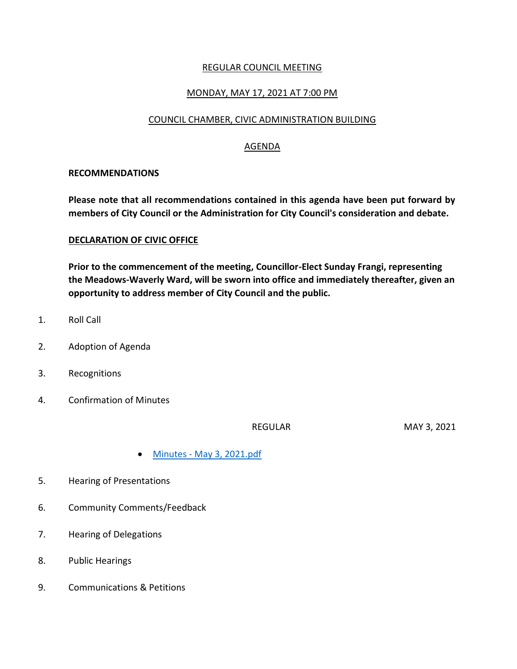## REGULAR COUNCIL MEETING

# MONDAY, MAY 17, 2021 AT 7:00 PM

### COUNCIL CHAMBER, CIVIC ADMINISTRATION BUILDING

## AGENDA

### **RECOMMENDATIONS**

**Please note that all recommendations contained in this agenda have been put forward by members of City Council or the Administration for City Council's consideration and debate.**

#### **DECLARATION OF CIVIC OFFICE**

**Prior to the commencement of the meeting, Councillor-Elect Sunday Frangi, representing the Meadows-Waverly Ward, will be sworn into office and immediately thereafter, given an opportunity to address member of City Council and the public.**

- 1. Roll Call
- 2. Adoption of Agenda
- 3. Recognitions
- 4. Confirmation of Minutes

REGULAR MAY 3, 2021

- Minutes [May 3, 2021.pdf](https://paperlesscouncil.brandon.ca/attachments/A_2021/COM_NPENNJXCDOOZLJSKFKSYKWWBWVPCCVBMDOIASDHRSZRVUWEXBCF_Minutes%20-%20May%203,%202021.pdf)
- 5. Hearing of Presentations
- 6. Community Comments/Feedback
- 7. Hearing of Delegations
- 8. Public Hearings
- 9. Communications & Petitions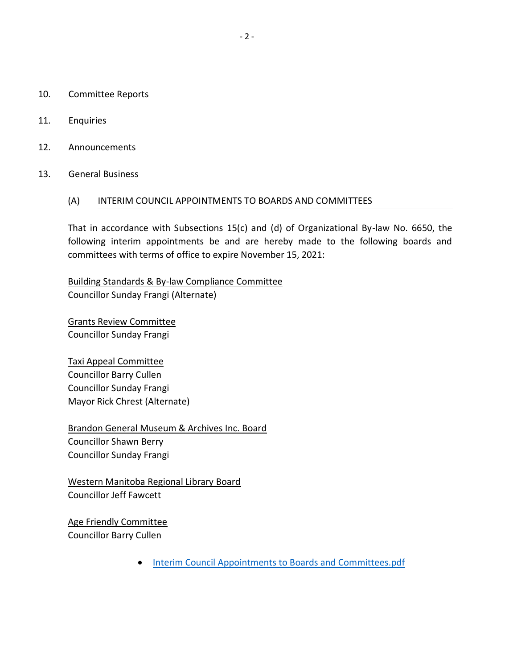- 10. Committee Reports
- 11. Enquiries
- 12. Announcements
- 13. General Business

#### (A) INTERIM COUNCIL APPOINTMENTS TO BOARDS AND COMMITTEES

That in accordance with Subsections 15(c) and (d) of Organizational By-law No. 6650, the following interim appointments be and are hereby made to the following boards and committees with terms of office to expire November 15, 2021:

Building Standards & By-law Compliance Committee Councillor Sunday Frangi (Alternate)

Grants Review Committee Councillor Sunday Frangi

Taxi Appeal Committee Councillor Barry Cullen Councillor Sunday Frangi Mayor Rick Chrest (Alternate)

Brandon General Museum & Archives Inc. Board Councillor Shawn Berry Councillor Sunday Frangi

Western Manitoba Regional Library Board Councillor Jeff Fawcett

Age Friendly Committee Councillor Barry Cullen

**• [Interim Council Appointments to Boards and Committees.pdf](https://paperlesscouncil.brandon.ca/attachments/A_2021/GEN_SXAJZJTBRYJRDTQVMGDNVBVIHORXACSEVXTJOQRAXVRZVKIMVAH_Interim%20Council%20Appointments%20to%20Boards%20and%20Committees.pdf)**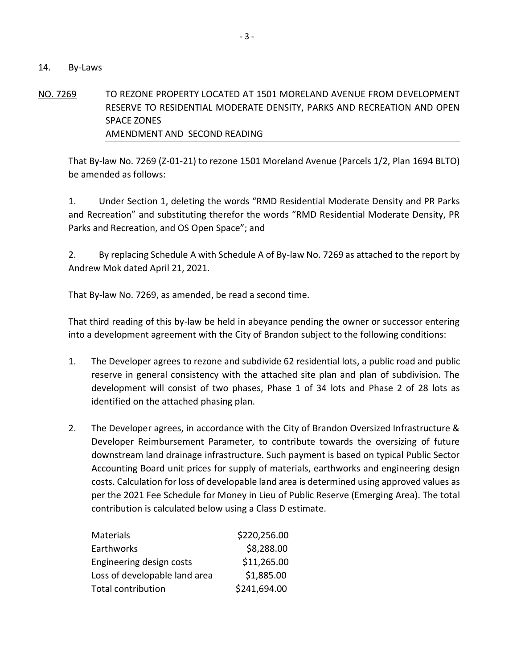#### 14. By-Laws

# NO. 7269 TO REZONE PROPERTY LOCATED AT 1501 MORELAND AVENUE FROM DEVELOPMENT RESERVE TO RESIDENTIAL MODERATE DENSITY, PARKS AND RECREATION AND OPEN SPACE ZONES AMENDMENT AND SECOND READING

That By-law No. 7269 (Z-01-21) to rezone 1501 Moreland Avenue (Parcels 1/2, Plan 1694 BLTO) be amended as follows:

1. Under Section 1, deleting the words "RMD Residential Moderate Density and PR Parks and Recreation" and substituting therefor the words "RMD Residential Moderate Density, PR Parks and Recreation, and OS Open Space"; and

2. By replacing Schedule A with Schedule A of By-law No. 7269 as attached to the report by Andrew Mok dated April 21, 2021.

That By-law No. 7269, as amended, be read a second time.

That third reading of this by-law be held in abeyance pending the owner or successor entering into a development agreement with the City of Brandon subject to the following conditions:

- 1. The Developer agrees to rezone and subdivide 62 residential lots, a public road and public reserve in general consistency with the attached site plan and plan of subdivision. The development will consist of two phases, Phase 1 of 34 lots and Phase 2 of 28 lots as identified on the attached phasing plan.
- 2. The Developer agrees, in accordance with the City of Brandon Oversized Infrastructure & Developer Reimbursement Parameter, to contribute towards the oversizing of future downstream land drainage infrastructure. Such payment is based on typical Public Sector Accounting Board unit prices for supply of materials, earthworks and engineering design costs. Calculation for loss of developable land area is determined using approved values as per the 2021 Fee Schedule for Money in Lieu of Public Reserve (Emerging Area). The total contribution is calculated below using a Class D estimate.

| Materials                     | \$220,256.00 |
|-------------------------------|--------------|
| Earthworks                    | \$8,288.00   |
| Engineering design costs      | \$11,265.00  |
| Loss of developable land area | \$1,885.00   |
| <b>Total contribution</b>     | \$241,694.00 |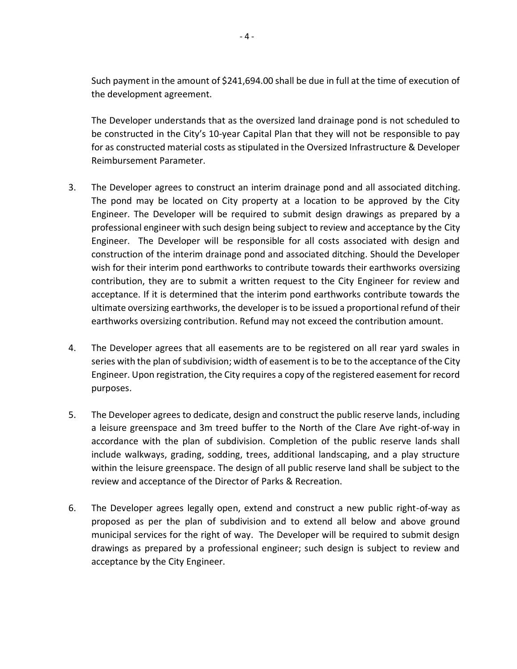Such payment in the amount of \$241,694.00 shall be due in full at the time of execution of the development agreement.

The Developer understands that as the oversized land drainage pond is not scheduled to be constructed in the City's 10-year Capital Plan that they will not be responsible to pay for as constructed material costs as stipulated in the Oversized Infrastructure & Developer Reimbursement Parameter.

- 3. The Developer agrees to construct an interim drainage pond and all associated ditching. The pond may be located on City property at a location to be approved by the City Engineer. The Developer will be required to submit design drawings as prepared by a professional engineer with such design being subject to review and acceptance by the City Engineer. The Developer will be responsible for all costs associated with design and construction of the interim drainage pond and associated ditching. Should the Developer wish for their interim pond earthworks to contribute towards their earthworks oversizing contribution, they are to submit a written request to the City Engineer for review and acceptance. If it is determined that the interim pond earthworks contribute towards the ultimate oversizing earthworks, the developer is to be issued a proportional refund of their earthworks oversizing contribution. Refund may not exceed the contribution amount.
- 4. The Developer agrees that all easements are to be registered on all rear yard swales in series with the plan of subdivision; width of easement is to be to the acceptance of the City Engineer. Upon registration, the City requires a copy of the registered easement for record purposes.
- 5. The Developer agrees to dedicate, design and construct the public reserve lands, including a leisure greenspace and 3m treed buffer to the North of the Clare Ave right-of-way in accordance with the plan of subdivision. Completion of the public reserve lands shall include walkways, grading, sodding, trees, additional landscaping, and a play structure within the leisure greenspace. The design of all public reserve land shall be subject to the review and acceptance of the Director of Parks & Recreation.
- 6. The Developer agrees legally open, extend and construct a new public right-of-way as proposed as per the plan of subdivision and to extend all below and above ground municipal services for the right of way. The Developer will be required to submit design drawings as prepared by a professional engineer; such design is subject to review and acceptance by the City Engineer.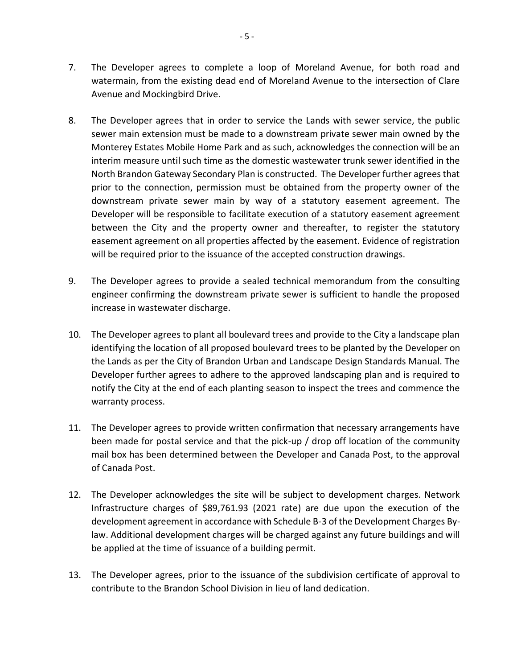- 7. The Developer agrees to complete a loop of Moreland Avenue, for both road and watermain, from the existing dead end of Moreland Avenue to the intersection of Clare Avenue and Mockingbird Drive.
- 8. The Developer agrees that in order to service the Lands with sewer service, the public sewer main extension must be made to a downstream private sewer main owned by the Monterey Estates Mobile Home Park and as such, acknowledges the connection will be an interim measure until such time as the domestic wastewater trunk sewer identified in the North Brandon Gateway Secondary Plan is constructed. The Developer further agrees that prior to the connection, permission must be obtained from the property owner of the downstream private sewer main by way of a statutory easement agreement. The Developer will be responsible to facilitate execution of a statutory easement agreement between the City and the property owner and thereafter, to register the statutory easement agreement on all properties affected by the easement. Evidence of registration will be required prior to the issuance of the accepted construction drawings.
- 9. The Developer agrees to provide a sealed technical memorandum from the consulting engineer confirming the downstream private sewer is sufficient to handle the proposed increase in wastewater discharge.
- 10. The Developer agrees to plant all boulevard trees and provide to the City a landscape plan identifying the location of all proposed boulevard trees to be planted by the Developer on the Lands as per the City of Brandon Urban and Landscape Design Standards Manual. The Developer further agrees to adhere to the approved landscaping plan and is required to notify the City at the end of each planting season to inspect the trees and commence the warranty process.
- 11. The Developer agrees to provide written confirmation that necessary arrangements have been made for postal service and that the pick-up / drop off location of the community mail box has been determined between the Developer and Canada Post, to the approval of Canada Post.
- 12. The Developer acknowledges the site will be subject to development charges. Network Infrastructure charges of \$89,761.93 (2021 rate) are due upon the execution of the development agreement in accordance with Schedule B-3 of the Development Charges Bylaw. Additional development charges will be charged against any future buildings and will be applied at the time of issuance of a building permit.
- 13. The Developer agrees, prior to the issuance of the subdivision certificate of approval to contribute to the Brandon School Division in lieu of land dedication.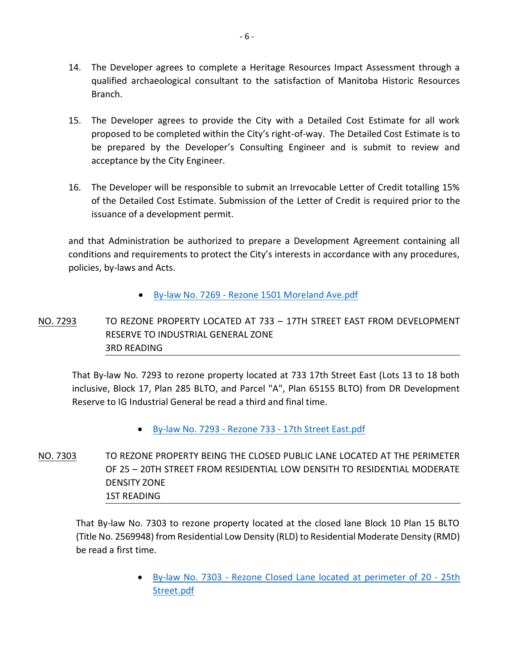- 14. The Developer agrees to complete a Heritage Resources Impact Assessment through a qualified archaeological consultant to the satisfaction of Manitoba Historic Resources Branch.
- 15. The Developer agrees to provide the City with a Detailed Cost Estimate for all work proposed to be completed within the City's right-of-way. The Detailed Cost Estimate is to be prepared by the Developer's Consulting Engineer and is submit to review and acceptance by the City Engineer.
- 16. The Developer will be responsible to submit an Irrevocable Letter of Credit totalling 15% of the Detailed Cost Estimate. Submission of the Letter of Credit is required prior to the issuance of a development permit.

and that Administration be authorized to prepare a Development Agreement containing all conditions and requirements to protect the City's interests in accordance with any procedures, policies, by-laws and Acts.

- By-law No. 7269 [Rezone 1501 Moreland Ave.pdf](https://paperlesscouncil.brandon.ca/attachments/A_2021/BYL_MPESNCSUCWRWJIRYQLXWVPQVOBCAFACDMDXMGWKWMIARWIPQFRN_By-law%20No.%207269%20-%20Rezone%201501%20Moreland%20Ave.pdf)
- NO. 7293 TO REZONE PROPERTY LOCATED AT 733 17TH STREET EAST FROM DEVELOPMENT RESERVE TO INDUSTRIAL GENERAL ZONE 3RD READING

That By-law No. 7293 to rezone property located at 733 17th Street East (Lots 13 to 18 both inclusive, Block 17, Plan 285 BLTO, and Parcel "A", Plan 65155 BLTO) from DR Development Reserve to IG Industrial General be read a third and final time.

- By-law No. 7293 Rezone 733 [17th Street East.pdf](https://paperlesscouncil.brandon.ca/attachments/A_2021/BYL_CFLIZQAPNYPRCJBKVYUBLKIXXRCVFBOZTIJLGOGUFHTRJEQFIIP_By-law%20No.%207293%20-%20Rezone%20733%20-%2017th%20Street%20East.pdf)
- NO. 7303 TO REZONE PROPERTY BEING THE CLOSED PUBLIC LANE LOCATED AT THE PERIMETER OF 25 – 20TH STREET FROM RESIDENTIAL LOW DENSITH TO RESIDENTIAL MODERATE DENSITY ZONE 1ST READING

That By-law No. 7303 to rezone property located at the closed lane Block 10 Plan 15 BLTO (Title No. 2569948) from Residential Low Density (RLD) to Residential Moderate Density (RMD) be read a first time.

> By-law No. 7303 - [Rezone Closed Lane located at perimeter of 20 -](https://paperlesscouncil.brandon.ca/attachments/A_2021/BYL_LZDVHHGDUGYVOGYOCCWENDAJXNDNURGQYMJBHUARRVZZLRYONQF_By-law%20No.%207303%20-%20Rezone%20Closed%20Lane%20located%20at%20perimeter%20of%2020%20-%2025th%20Street.pdf) 25th [Street.pdf](https://paperlesscouncil.brandon.ca/attachments/A_2021/BYL_LZDVHHGDUGYVOGYOCCWENDAJXNDNURGQYMJBHUARRVZZLRYONQF_By-law%20No.%207303%20-%20Rezone%20Closed%20Lane%20located%20at%20perimeter%20of%2020%20-%2025th%20Street.pdf)